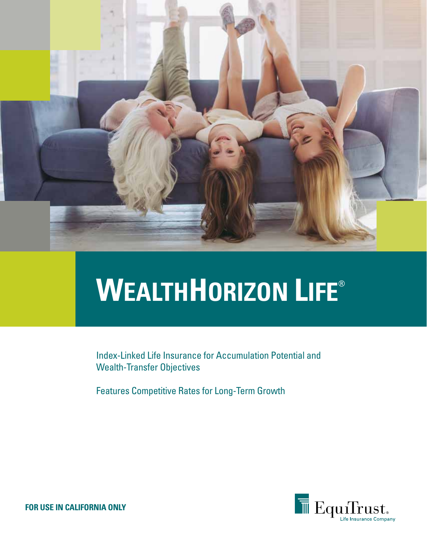

# **WEALTHHORIZON LIFE**®

Index-Linked Life Insurance for Accumulation Potential and Wealth-Transfer Objectives

Features Competitive Rates for Long-Term Growth



**FOR USE IN CALIFORNIA ONLY**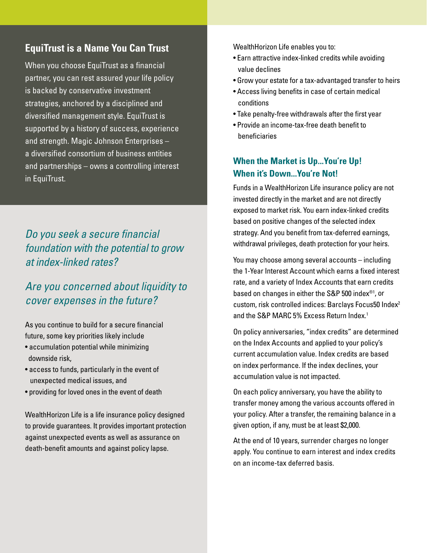### **EquiTrust is a Name You Can Trust**

When you choose EquiTrust as a financial partner, you can rest assured your life policy is backed by conservative investment strategies, anchored by a disciplined and diversified management style. EquiTrust is supported by a history of success, experience and strength. Magic Johnson Enterprises – a diversified consortium of business entities and partnerships – owns a controlling interest in EquiTrust.

# *Do you seek a secure financial foundation with the potential to grow at index-linked rates?*

## *Are you concerned about liquidity to cover expenses in the future?*

As you continue to build for a secure financial future, some key priorities likely include

- accumulation potential while minimizing downside risk,
- access to funds, particularly in the event of unexpected medical issues, and
- providing for loved ones in the event of death

WealthHorizon Life is a life insurance policy designed to provide guarantees. It provides important protection against unexpected events as well as assurance on death-benefit amounts and against policy lapse.

WealthHorizon Life enables you to:

- Earn attractive index-linked credits while avoiding value declines
- Grow your estate for a tax-advantaged transfer to heirs
- Access living benefits in case of certain medical conditions
- Take penalty-free withdrawals after the first year
- Provide an income-tax-free death benefit to beneficiaries

#### **When the Market is Up...You're Up! When it's Down...You're Not!**

Funds in a WealthHorizon Life insurance policy are not invested directly in the market and are not directly exposed to market risk. You earn index-linked credits based on positive changes of the selected index strategy. And you benefit from tax-deferred earnings, withdrawal privileges, death protection for your heirs.

You may choose among several accounts – including the 1-Year Interest Account which earns a fixed interest rate, and a variety of Index Accounts that earn credits based on changes in either the S&P 500 index®1, or custom, risk controlled indices: Barclays Focus50 Index2 and the S&P MARC 5% Excess Return Index.<sup>1</sup>

On policy anniversaries, "index credits" are determined on the Index Accounts and applied to your policy's current accumulation value. Index credits are based on index performance. If the index declines, your accumulation value is not impacted.

On each policy anniversary, you have the ability to transfer money among the various accounts offered in your policy. After a transfer, the remaining balance in a given option, if any, must be at least \$2,000.

At the end of 10 years, surrender charges no longer apply. You continue to earn interest and index credits on an income-tax deferred basis.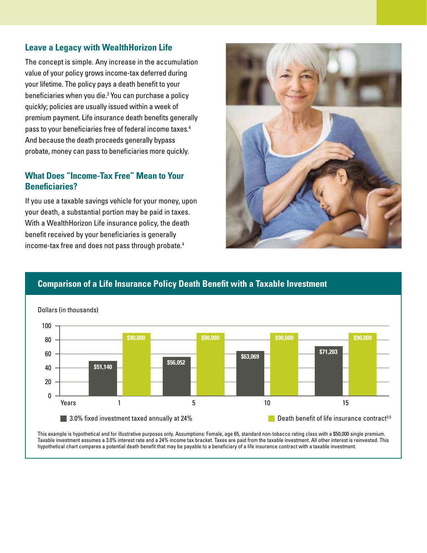#### **Leave a Legacy with WealthHorizon Life**

The concept is simple. Any increase in the accumulation value of your policy grows income-tax deferred during your lifetime. The policy pays a death benefit to your beneficiaries when you die.3 You can purchase a policy quickly; policies are usually issued within a week of premium payment. Life insurance death benefits generally pass to your beneficiaries free of federal income taxes.4 And because the death proceeds generally bypass probate, money can pass to beneficiaries more quickly.

#### **What Does "Income-Tax Free" Mean to Your Beneficiaries?**

If you use a taxable savings vehicle for your money, upon your death, a substantial portion may be paid in taxes. With a WealthHorizon Life insurance policy, the death benefit received by your beneficiaries is generally income-tax free and does not pass through probate.4



## **Comparison of a Life Insurance Policy Death Benefit with a Taxable Investment**



This example is hypothetical and for illustrative purposes only. Assumptions: Female, age 65, standard non-tobacco rating class with a \$50,000 single premium. Taxable investment assumes a 3.0% interest rate and a 24% income tax bracket. Taxes are paid from the taxable investment. All other interest is reinvested. This hypothetical chart compares a potential death benefit that may be payable to a beneficiary of a life insurance contract with a taxable investment.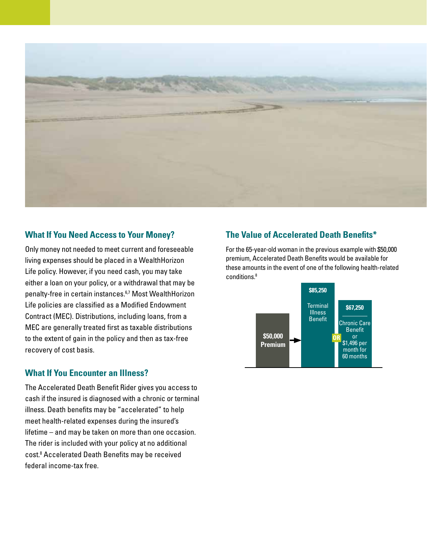

#### **What If You Need Access to Your Money?**

Only money not needed to meet current and foreseeable living expenses should be placed in a WealthHorizon Life policy. However, if you need cash, you may take either a loan on your policy, or a withdrawal that may be penalty-free in certain instances.6,7 Most WealthHorizon Life policies are classified as a Modified Endowment Contract (MEC). Distributions, including loans, from a MEC are generally treated first as taxable distributions to the extent of gain in the policy and then as tax-free recovery of cost basis.

#### **What If You Encounter an Illness?**

The Accelerated Death Benefit Rider gives you access to cash if the insured is diagnosed with a chronic or terminal illness. Death benefits may be "accelerated" to help meet health-related expenses during the insured's lifetime – and may be taken on more than one occasion. The rider is included with your policy at no additional cost.8 Accelerated Death Benefits may be received federal income-tax free.

#### **The Value of Accelerated Death Benefits\***

For the 65-year-old woman in the previous example with \$50,000 premium, Accelerated Death Benefits would be available for these amounts in the event of one of the following health-related conditions.8

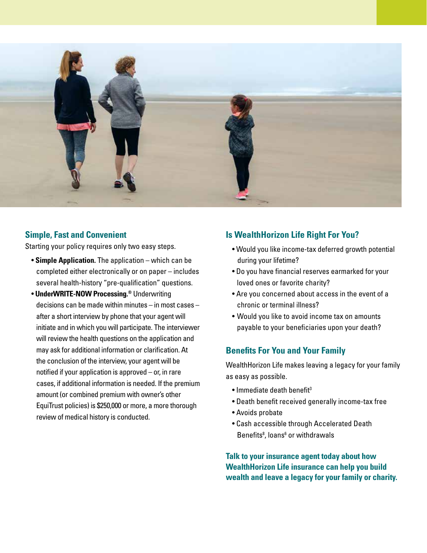

#### **Simple, Fast and Convenient**

Starting your policy requires only two easy steps.

- **Simple Application.** The application which can be completed either electronically or on paper – includes several health-history "pre-qualification" questions.
- **UnderWRITE-NOW Processing.®** Underwriting decisions can be made within minutes – in most cases – after a short interview by phone that your agent will initiate and in which you will participate. The interviewer will review the health questions on the application and may ask for additional information or clarification. At the conclusion of the interview, your agent will be notified if your application is approved – or, in rare cases, if additional information is needed. If the premium amount (or combined premium with owner's other EquiTrust policies) is \$250,000 or more, a more thorough review of medical history is conducted.

#### **Is WealthHorizon Life Right For You?**

- Would you like income-tax deferred growth potential during your lifetime?
- Do you have financial reserves earmarked for your loved ones or favorite charity?
- Are you concerned about access in the event of a chronic or terminal illness?
- Would you like to avoid income tax on amounts payable to your beneficiaries upon your death?

#### **Benefits For You and Your Family**

WealthHorizon Life makes leaving a legacy for your family as easy as possible.

- $\bullet$  Immediate death benefit<sup>3</sup>
- Death benefit received generally income-tax free
- Avoids probate
- Cash accessible through Accelerated Death Benefits<sup>8</sup>, loans<sup>6</sup> or withdrawals

**Talk to your insurance agent today about how WealthHorizon Life insurance can help you build wealth and leave a legacy for your family or charity.**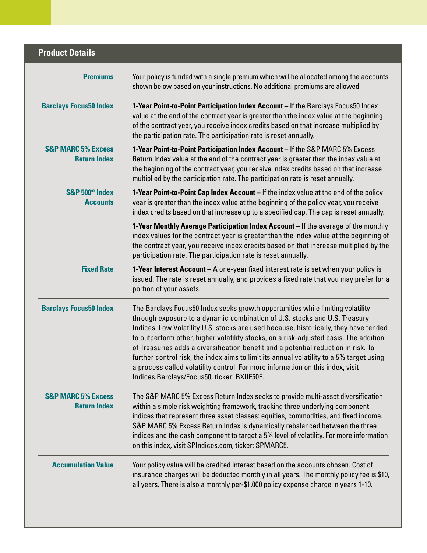| <b>Product Details</b>                               |                                                                                                                                                                                                                                                                                                                                                                                                                                                                                                                                                                                                                                                                   |
|------------------------------------------------------|-------------------------------------------------------------------------------------------------------------------------------------------------------------------------------------------------------------------------------------------------------------------------------------------------------------------------------------------------------------------------------------------------------------------------------------------------------------------------------------------------------------------------------------------------------------------------------------------------------------------------------------------------------------------|
| <b>Premiums</b>                                      | Your policy is funded with a single premium which will be allocated among the accounts<br>shown below based on your instructions. No additional premiums are allowed.                                                                                                                                                                                                                                                                                                                                                                                                                                                                                             |
| <b>Barclays Focus50 Index</b>                        | 1-Year Point-to-Point Participation Index Account - If the Barclays Focus50 Index<br>value at the end of the contract year is greater than the index value at the beginning<br>of the contract year, you receive index credits based on that increase multiplied by<br>the participation rate. The participation rate is reset annually.                                                                                                                                                                                                                                                                                                                          |
| <b>S&amp;P MARC 5% Excess</b><br><b>Return Index</b> | 1-Year Point-to-Point Participation Index Account - If the S&P MARC 5% Excess<br>Return Index value at the end of the contract year is greater than the index value at<br>the beginning of the contract year, you receive index credits based on that increase<br>multiplied by the participation rate. The participation rate is reset annually.                                                                                                                                                                                                                                                                                                                 |
| S&P 500 <sup>®</sup> Index<br><b>Accounts</b>        | 1-Year Point-to-Point Cap Index Account - If the index value at the end of the policy<br>year is greater than the index value at the beginning of the policy year, you receive<br>index credits based on that increase up to a specified cap. The cap is reset annually.                                                                                                                                                                                                                                                                                                                                                                                          |
|                                                      | 1-Year Monthly Average Participation Index Account - If the average of the monthly<br>index values for the contract year is greater than the index value at the beginning of<br>the contract year, you receive index credits based on that increase multiplied by the<br>participation rate. The participation rate is reset annually.                                                                                                                                                                                                                                                                                                                            |
| <b>Fixed Rate</b>                                    | <b>1-Year Interest Account</b> – A one-year fixed interest rate is set when your policy is<br>issued. The rate is reset annually, and provides a fixed rate that you may prefer for a<br>portion of your assets.                                                                                                                                                                                                                                                                                                                                                                                                                                                  |
| <b>Barclays Focus50 Index</b>                        | The Barclays Focus50 Index seeks growth opportunities while limiting volatility<br>through exposure to a dynamic combination of U.S. stocks and U.S. Treasury<br>Indices. Low Volatility U.S. stocks are used because, historically, they have tended<br>to outperform other, higher volatility stocks, on a risk-adjusted basis. The addition<br>of Treasuries adds a diversification benefit and a potential reduction in risk. To<br>further control risk, the index aims to limit its annual volatility to a 5% target using<br>a process called volatility control. For more information on this index, visit<br>Indices.Barclays/Focus50, ticker: BXIIF50E. |
| <b>S&amp;P MARC 5% Excess</b><br><b>Return Index</b> | The S&P MARC 5% Excess Return Index seeks to provide multi-asset diversification<br>within a simple risk weighting framework, tracking three underlying component<br>indices that represent three asset classes: equities, commodities, and fixed income.<br>S&P MARC 5% Excess Return Index is dynamically rebalanced between the three<br>indices and the cash component to target a 5% level of volatility. For more information<br>on this index, visit SPIndices.com, ticker: SPMARC5.                                                                                                                                                                       |
| <b>Accumulation Value</b>                            | Your policy value will be credited interest based on the accounts chosen. Cost of<br>insurance charges will be deducted monthly in all years. The monthly policy fee is \$10,<br>all years. There is also a monthly per-\$1,000 policy expense charge in years 1-10.                                                                                                                                                                                                                                                                                                                                                                                              |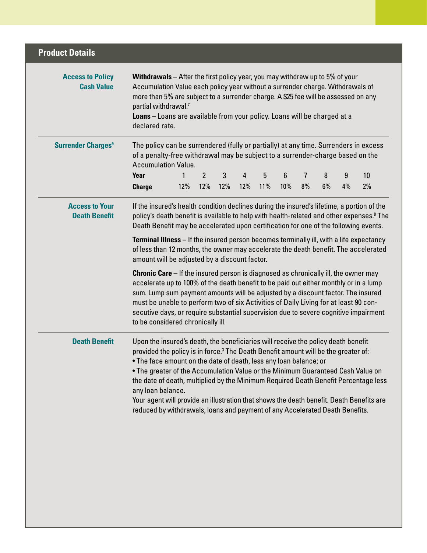| <b>Product Details</b>                        |                                                                                                                                                                                                                                                                                                                                                                                                                                                                                                                                                                                                                                     |     |                       |          |          |          |          |         |         |         |          |  |
|-----------------------------------------------|-------------------------------------------------------------------------------------------------------------------------------------------------------------------------------------------------------------------------------------------------------------------------------------------------------------------------------------------------------------------------------------------------------------------------------------------------------------------------------------------------------------------------------------------------------------------------------------------------------------------------------------|-----|-----------------------|----------|----------|----------|----------|---------|---------|---------|----------|--|
| <b>Access to Policy</b><br><b>Cash Value</b>  | <b>Withdrawals</b> – After the first policy year, you may withdraw up to 5% of your<br>Accumulation Value each policy year without a surrender charge. Withdrawals of<br>more than 5% are subject to a surrender charge. A \$25 fee will be assessed on any<br>partial withdrawal. <sup>7</sup><br>Loans - Loans are available from your policy. Loans will be charged at a<br>declared rate.                                                                                                                                                                                                                                       |     |                       |          |          |          |          |         |         |         |          |  |
| <b>Surrender Charges<sup>9</sup></b>          | The policy can be surrendered (fully or partially) at any time. Surrenders in excess<br>of a penalty-free withdrawal may be subject to a surrender-charge based on the<br><b>Accumulation Value.</b>                                                                                                                                                                                                                                                                                                                                                                                                                                |     |                       |          |          |          |          |         |         |         |          |  |
|                                               | Year<br><b>Charge</b>                                                                                                                                                                                                                                                                                                                                                                                                                                                                                                                                                                                                               | 12% | $\overline{2}$<br>12% | 3<br>12% | 4<br>12% | 5<br>11% | 6<br>10% | 7<br>8% | 8<br>6% | 9<br>4% | 10<br>2% |  |
| <b>Access to Your</b><br><b>Death Benefit</b> | If the insured's health condition declines during the insured's lifetime, a portion of the<br>policy's death benefit is available to help with health-related and other expenses. <sup>8</sup> The<br>Death Benefit may be accelerated upon certification for one of the following events.                                                                                                                                                                                                                                                                                                                                          |     |                       |          |          |          |          |         |         |         |          |  |
|                                               | <b>Terminal Illness</b> – If the insured person becomes terminally ill, with a life expectancy<br>of less than 12 months, the owner may accelerate the death benefit. The accelerated<br>amount will be adjusted by a discount factor.                                                                                                                                                                                                                                                                                                                                                                                              |     |                       |          |          |          |          |         |         |         |          |  |
|                                               | <b>Chronic Care</b> – If the insured person is diagnosed as chronically ill, the owner may<br>accelerate up to 100% of the death benefit to be paid out either monthly or in a lump<br>sum. Lump sum payment amounts will be adjusted by a discount factor. The insured<br>must be unable to perform two of six Activities of Daily Living for at least 90 con-<br>secutive days, or require substantial supervision due to severe cognitive impairment<br>to be considered chronically ill.                                                                                                                                        |     |                       |          |          |          |          |         |         |         |          |  |
| <b>Death Benefit</b>                          | Upon the insured's death, the beneficiaries will receive the policy death benefit<br>provided the policy is in force. <sup>3</sup> The Death Benefit amount will be the greater of:<br>. The face amount on the date of death, less any loan balance; or<br>. The greater of the Accumulation Value or the Minimum Guaranteed Cash Value on<br>the date of death, multiplied by the Minimum Required Death Benefit Percentage less<br>any loan balance.<br>Your agent will provide an illustration that shows the death benefit. Death Benefits are<br>reduced by withdrawals, loans and payment of any Accelerated Death Benefits. |     |                       |          |          |          |          |         |         |         |          |  |
|                                               |                                                                                                                                                                                                                                                                                                                                                                                                                                                                                                                                                                                                                                     |     |                       |          |          |          |          |         |         |         |          |  |